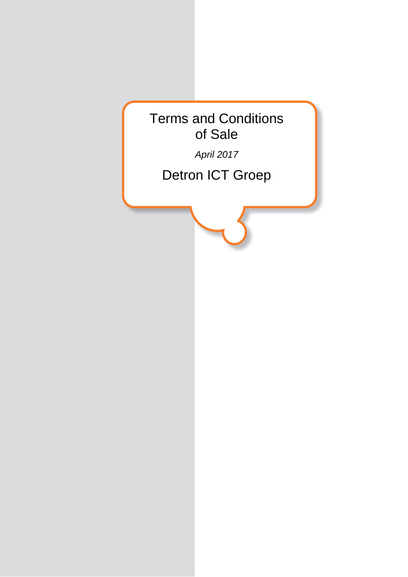

*April 2017*

Detron ICT Groep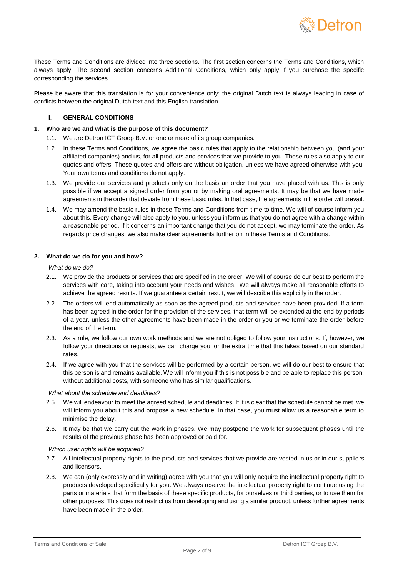

These Terms and Conditions are divided into three sections. The first section concerns the Terms and Conditions, which always apply. The second section concerns Additional Conditions, which only apply if you purchase the specific corresponding the services.

Please be aware that this translation is for your convenience only; the original Dutch text is always leading in case of conflicts between the original Dutch text and this English translation.

## **I**. **GENERAL CONDITIONS**

## **1. Who are we and what is the purpose of this document?**

- 1.1. We are Detron ICT Groep B.V. or one or more of its group companies.
- 1.2. In these Terms and Conditions, we agree the basic rules that apply to the relationship between you (and your affiliated companies) and us, for all products and services that we provide to you. These rules also apply to our quotes and offers. These quotes and offers are without obligation, unless we have agreed otherwise with you. Your own terms and conditions do not apply.
- 1.3. We provide our services and products only on the basis an order that you have placed with us. This is only possible if we accept a signed order from you or by making oral agreements. It may be that we have made agreements in the order that deviate from these basic rules. In that case, the agreements in the order will prevail.
- 1.4. We may amend the basic rules in these Terms and Conditions from time to time. We will of course inform you about this. Every change will also apply to you, unless you inform us that you do not agree with a change within a reasonable period. If it concerns an important change that you do not accept, we may terminate the order. As regards price changes, we also make clear agreements further on in these Terms and Conditions.

## **2. What do we do for you and how?**

*What do we do?*

- 2.1. We provide the products or services that are specified in the order. We will of course do our best to perform the services with care, taking into account your needs and wishes. We will always make all reasonable efforts to achieve the agreed results. If we guarantee a certain result, we will describe this explicitly in the order.
- 2.2. The orders will end automatically as soon as the agreed products and services have been provided. If a term has been agreed in the order for the provision of the services, that term will be extended at the end by periods of a year, unless the other agreements have been made in the order or you or we terminate the order before the end of the term.
- 2.3. As a rule, we follow our own work methods and we are not obliged to follow your instructions. If, however, we follow your directions or requests, we can charge you for the extra time that this takes based on our standard rates.
- 2.4. If we agree with you that the services will be performed by a certain person, we will do our best to ensure that this person is and remains available. We will inform you if this is not possible and be able to replace this person, without additional costs, with someone who has similar qualifications.

## *What about the schedule and deadlines?*

- 2.5. We will endeavour to meet the agreed schedule and deadlines. If it is clear that the schedule cannot be met, we will inform you about this and propose a new schedule. In that case, you must allow us a reasonable term to minimise the delay.
- 2.6. It may be that we carry out the work in phases. We may postpone the work for subsequent phases until the results of the previous phase has been approved or paid for.

### *Which user rights will be acquired?*

- 2.7. All intellectual property rights to the products and services that we provide are vested in us or in our suppliers and licensors.
- 2.8. We can (only expressly and in writing) agree with you that you will only acquire the intellectual property right to products developed specifically for you. We always reserve the intellectual property right to continue using the parts or materials that form the basis of these specific products, for ourselves or third parties, or to use them for other purposes. This does not restrict us from developing and using a similar product, unless further agreements have been made in the order.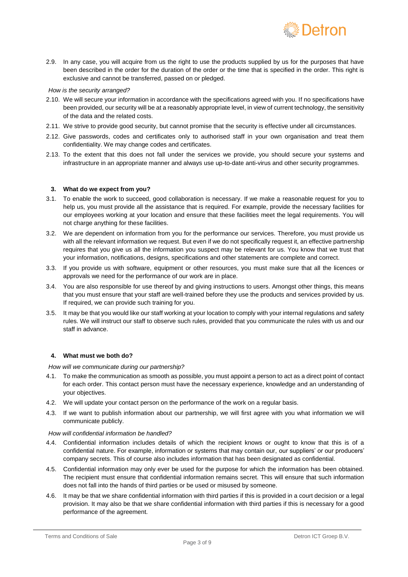

2.9. In any case, you will acquire from us the right to use the products supplied by us for the purposes that have been described in the order for the duration of the order or the time that is specified in the order. This right is exclusive and cannot be transferred, passed on or pledged.

## *How is the security arranged?*

- 2.10. We will secure your information in accordance with the specifications agreed with you. If no specifications have been provided, our security will be at a reasonably appropriate level, in view of current technology, the sensitivity of the data and the related costs.
- 2.11. We strive to provide good security, but cannot promise that the security is effective under all circumstances.
- 2.12. Give passwords, codes and certificates only to authorised staff in your own organisation and treat them confidentiality. We may change codes and certificates.
- 2.13. To the extent that this does not fall under the services we provide, you should secure your systems and infrastructure in an appropriate manner and always use up-to-date anti-virus and other security programmes.

### **3. What do we expect from you?**

- 3.1. To enable the work to succeed, good collaboration is necessary. If we make a reasonable request for you to help us, you must provide all the assistance that is required. For example, provide the necessary facilities for our employees working at your location and ensure that these facilities meet the legal requirements. You will not charge anything for these facilities.
- 3.2. We are dependent on information from you for the performance our services. Therefore, you must provide us with all the relevant information we request. But even if we do not specifically request it, an effective partnership requires that you give us all the information you suspect may be relevant for us. You know that we trust that your information, notifications, designs, specifications and other statements are complete and correct.
- 3.3. If you provide us with software, equipment or other resources, you must make sure that all the licences or approvals we need for the performance of our work are in place.
- 3.4. You are also responsible for use thereof by and giving instructions to users. Amongst other things, this means that you must ensure that your staff are well-trained before they use the products and services provided by us. If required, we can provide such training for you.
- 3.5. It may be that you would like our staff working at your location to comply with your internal regulations and safety rules. We will instruct our staff to observe such rules, provided that you communicate the rules with us and our staff in advance.

## **4. What must we both do?**

*How will we communicate during our partnership?*

- 4.1. To make the communication as smooth as possible, you must appoint a person to act as a direct point of contact for each order. This contact person must have the necessary experience, knowledge and an understanding of your objectives.
- 4.2. We will update your contact person on the performance of the work on a regular basis.
- 4.3. If we want to publish information about our partnership, we will first agree with you what information we will communicate publicly.

## *How will confidential information be handled?*

- 4.4. Confidential information includes details of which the recipient knows or ought to know that this is of a confidential nature. For example, information or systems that may contain our, our suppliers' or our producers' company secrets. This of course also includes information that has been designated as confidential.
- 4.5. Confidential information may only ever be used for the purpose for which the information has been obtained. The recipient must ensure that confidential information remains secret. This will ensure that such information does not fall into the hands of third parties or be used or misused by someone.
- 4.6. It may be that we share confidential information with third parties if this is provided in a court decision or a legal provision. It may also be that we share confidential information with third parties if this is necessary for a good performance of the agreement.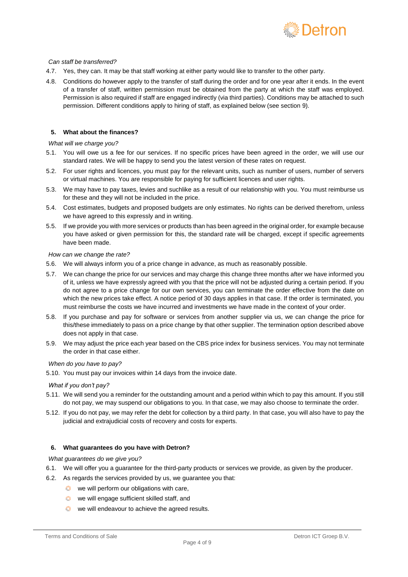

## *Can staff be transferred?*

- 4.7. Yes, they can. It may be that staff working at either party would like to transfer to the other party.
- 4.8. Conditions do however apply to the transfer of staff during the order and for one year after it ends. In the event of a transfer of staff, written permission must be obtained from the party at which the staff was employed. Permission is also required if staff are engaged indirectly (via third parties). Conditions may be attached to such permission. Different conditions apply to hiring of staff, as explained below (see section 9).

# **5. What about the finances?**

## *What will we charge you?*

- 5.1. You will owe us a fee for our services. If no specific prices have been agreed in the order, we will use our standard rates. We will be happy to send you the latest version of these rates on request.
- 5.2. For user rights and licences, you must pay for the relevant units, such as number of users, number of servers or virtual machines. You are responsible for paying for sufficient licences and user rights.
- 5.3. We may have to pay taxes, levies and suchlike as a result of our relationship with you. You must reimburse us for these and they will not be included in the price.
- 5.4. Cost estimates, budgets and proposed budgets are only estimates. No rights can be derived therefrom, unless we have agreed to this expressly and in writing.
- 5.5. If we provide you with more services or products than has been agreed in the original order, for example because you have asked or given permission for this, the standard rate will be charged, except if specific agreements have been made.

### *How can we change the rate?*

- 5.6. We will always inform you of a price change in advance, as much as reasonably possible.
- 5.7. We can change the price for our services and may charge this change three months after we have informed you of it, unless we have expressly agreed with you that the price will not be adjusted during a certain period. If you do not agree to a price change for our own services, you can terminate the order effective from the date on which the new prices take effect. A notice period of 30 days applies in that case. If the order is terminated, you must reimburse the costs we have incurred and investments we have made in the context of your order.
- 5.8. If you purchase and pay for software or services from another supplier via us, we can change the price for this/these immediately to pass on a price change by that other supplier. The termination option described above does not apply in that case.
- 5.9. We may adjust the price each year based on the CBS price index for business services. You may not terminate the order in that case either.

### *When do you have to pay?*

5.10. You must pay our invoices within 14 days from the invoice date.

### *What if you don't pay?*

- 5.11. We will send you a reminder for the outstanding amount and a period within which to pay this amount. If you still do not pay, we may suspend our obligations to you. In that case, we may also choose to terminate the order.
- 5.12. If you do not pay, we may refer the debt for collection by a third party. In that case, you will also have to pay the judicial and extrajudicial costs of recovery and costs for experts.

## **6. What guarantees do you have with Detron?**

### *What guarantees do we give you?*

- 6.1. We will offer you a guarantee for the third-party products or services we provide, as given by the producer.
- 6.2. As regards the services provided by us, we guarantee you that:
	- we will perform our obligations with care,
	- we will engage sufficient skilled staff, and
	- we will endeavour to achieve the agreed results.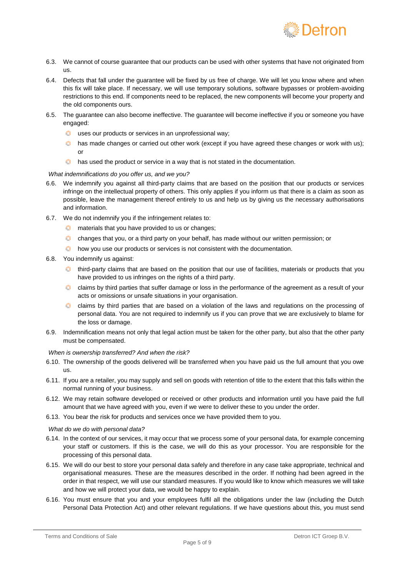

- 6.3. We cannot of course guarantee that our products can be used with other systems that have not originated from us.
- 6.4. Defects that fall under the guarantee will be fixed by us free of charge. We will let you know where and when this fix will take place. If necessary, we will use temporary solutions, software bypasses or problem-avoiding restrictions to this end. If components need to be replaced, the new components will become your property and the old components ours.
- 6.5. The guarantee can also become ineffective. The guarantee will become ineffective if you or someone you have engaged:
	- uses our products or services in an unprofessional way;
	- **thas made changes or carried out other work (except if you have agreed these changes or work with us);** or
	- $\langle \rangle$ has used the product or service in a way that is not stated in the documentation.

### *What indemnifications do you offer us, and we you?*

- 6.6. We indemnify you against all third-party claims that are based on the position that our products or services infringe on the intellectual property of others. This only applies if you inform us that there is a claim as soon as possible, leave the management thereof entirely to us and help us by giving us the necessary authorisations and information.
- 6.7. We do not indemnify you if the infringement relates to:
	- **C** materials that you have provided to us or changes;
	- changes that you, or a third party on your behalf, has made without our written permission; or
	- $\bullet$  how you use our products or services is not consistent with the documentation.
- 6.8. You indemnify us against:
	- $\bullet$  third-party claims that are based on the position that our use of facilities, materials or products that you have provided to us infringes on the rights of a third party.
	- **C** claims by third parties that suffer damage or loss in the performance of the agreement as a result of your acts or omissions or unsafe situations in your organisation.
	- claims by third parties that are based on a violation of the laws and regulations on the processing of personal data. You are not required to indemnify us if you can prove that we are exclusively to blame for the loss or damage.
- 6.9. Indemnification means not only that legal action must be taken for the other party, but also that the other party must be compensated.

### *When is ownership transferred? And when the risk?*

- 6.10. The ownership of the goods delivered will be transferred when you have paid us the full amount that you owe us.
- 6.11. If you are a retailer, you may supply and sell on goods with retention of title to the extent that this falls within the normal running of your business.
- 6.12. We may retain software developed or received or other products and information until you have paid the full amount that we have agreed with you, even if we were to deliver these to you under the order.
- 6.13. You bear the risk for products and services once we have provided them to you.

### *What do we do with personal data?*

- 6.14. In the context of our services, it may occur that we process some of your personal data, for example concerning your staff or customers. If this is the case, we will do this as your processor. You are responsible for the processing of this personal data.
- 6.15. We will do our best to store your personal data safely and therefore in any case take appropriate, technical and organisational measures. These are the measures described in the order. If nothing had been agreed in the order in that respect, we will use our standard measures. If you would like to know which measures we will take and how we will protect your data, we would be happy to explain.
- 6.16. You must ensure that you and your employees fulfil all the obligations under the law (including the Dutch Personal Data Protection Act) and other relevant regulations. If we have questions about this, you must send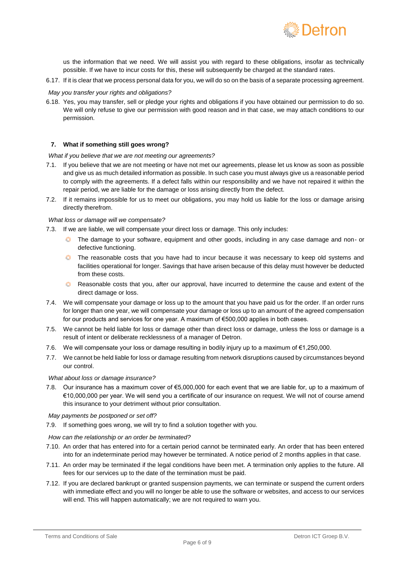

us the information that we need. We will assist you with regard to these obligations, insofar as technically possible. If we have to incur costs for this, these will subsequently be charged at the standard rates.

6.17. If it is clear that we process personal data for you, we will do so on the basis of a separate processing agreement.

## *May you transfer your rights and obligations?*

6.18. Yes, you may transfer, sell or pledge your rights and obligations if you have obtained our permission to do so. We will only refuse to give our permission with good reason and in that case, we may attach conditions to our permission.

## **7. What if something still goes wrong?**

*What if you believe that we are not meeting our agreements?*

- 7.1. If you believe that we are not meeting or have not met our agreements, please let us know as soon as possible and give us as much detailed information as possible. In such case you must always give us a reasonable period to comply with the agreements. If a defect falls within our responsibility and we have not repaired it within the repair period, we are liable for the damage or loss arising directly from the defect.
- 7.2. If it remains impossible for us to meet our obligations, you may hold us liable for the loss or damage arising directly therefrom.

### *What loss or damage will we compensate?*

- 7.3. If we are liable, we will compensate your direct loss or damage. This only includes:
	- The damage to your software, equipment and other goods, including in any case damage and non- or defective functioning.
	- **The reasonable costs that you have had to incur because it was necessary to keep old systems and** facilities operational for longer. Savings that have arisen because of this delay must however be deducted from these costs.
	- **C** Reasonable costs that you, after our approval, have incurred to determine the cause and extent of the direct damage or loss.
- 7.4. We will compensate your damage or loss up to the amount that you have paid us for the order. If an order runs for longer than one year, we will compensate your damage or loss up to an amount of the agreed compensation for our products and services for one year. A maximum of €500,000 applies in both cases.
- 7.5. We cannot be held liable for loss or damage other than direct loss or damage, unless the loss or damage is a result of intent or deliberate recklessness of a manager of Detron.
- 7.6. We will compensate your loss or damage resulting in bodily injury up to a maximum of €1,250,000.
- 7.7. We cannot be held liable for loss or damage resulting from network disruptions caused by circumstances beyond our control.

## *What about loss or damage insurance?*

7.8. Our insurance has a maximum cover of €5,000,000 for each event that we are liable for, up to a maximum of €10,000,000 per year. We will send you a certificate of our insurance on request. We will not of course amend this insurance to your detriment without prior consultation.

#### *May payments be postponed or set off?*

7.9. If something goes wrong, we will try to find a solution together with you.

### *How can the relationship or an order be terminated?*

- 7.10. An order that has entered into for a certain period cannot be terminated early. An order that has been entered into for an indeterminate period may however be terminated. A notice period of 2 months applies in that case.
- 7.11. An order may be terminated if the legal conditions have been met. A termination only applies to the future. All fees for our services up to the date of the termination must be paid.
- 7.12. If you are declared bankrupt or granted suspension payments, we can terminate or suspend the current orders with immediate effect and you will no longer be able to use the software or websites, and access to our services will end. This will happen automatically; we are not required to warn you.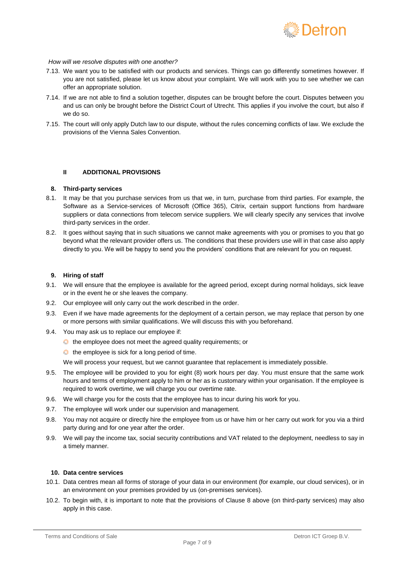

#### *How will we resolve disputes with one another?*

- 7.13. We want you to be satisfied with our products and services. Things can go differently sometimes however. If you are not satisfied, please let us know about your complaint. We will work with you to see whether we can offer an appropriate solution.
- 7.14. If we are not able to find a solution together, disputes can be brought before the court. Disputes between you and us can only be brought before the District Court of Utrecht. This applies if you involve the court, but also if we do so.
- 7.15. The court will only apply Dutch law to our dispute, without the rules concerning conflicts of law. We exclude the provisions of the Vienna Sales Convention.

## **II ADDITIONAL PROVISIONS**

### **8. Third-party services**

- 8.1. It may be that you purchase services from us that we, in turn, purchase from third parties. For example, the Software as a Service-services of Microsoft (Office 365), Citrix, certain support functions from hardware suppliers or data connections from telecom service suppliers. We will clearly specify any services that involve third-party services in the order.
- 8.2. It goes without saying that in such situations we cannot make agreements with you or promises to you that go beyond what the relevant provider offers us. The conditions that these providers use will in that case also apply directly to you. We will be happy to send you the providers' conditions that are relevant for you on request.

## **9. Hiring of staff**

- 9.1. We will ensure that the employee is available for the agreed period, except during normal holidays, sick leave or in the event he or she leaves the company.
- 9.2. Our employee will only carry out the work described in the order.
- 9.3. Even if we have made agreements for the deployment of a certain person, we may replace that person by one or more persons with similar qualifications. We will discuss this with you beforehand.
- 9.4. You may ask us to replace our employee if:
	- the employee does not meet the agreed quality requirements; or
	- the employee is sick for a long period of time.

We will process your request, but we cannot guarantee that replacement is immediately possible.

- 9.5. The employee will be provided to you for eight (8) work hours per day. You must ensure that the same work hours and terms of employment apply to him or her as is customary within your organisation. If the employee is required to work overtime, we will charge you our overtime rate.
- 9.6. We will charge you for the costs that the employee has to incur during his work for you.
- 9.7. The employee will work under our supervision and management.
- 9.8. You may not acquire or directly hire the employee from us or have him or her carry out work for you via a third party during and for one year after the order.
- 9.9. We will pay the income tax, social security contributions and VAT related to the deployment, needless to say in a timely manner.

## **10. Data centre services**

- 10.1. Data centres mean all forms of storage of your data in our environment (for example, our cloud services), or in an environment on your premises provided by us (on-premises services).
- 10.2. To begin with, it is important to note that the provisions of Clause 8 above (on third-party services) may also apply in this case.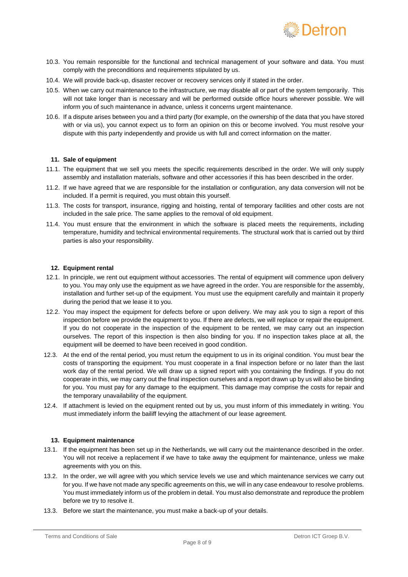

- 10.3. You remain responsible for the functional and technical management of your software and data. You must comply with the preconditions and requirements stipulated by us.
- 10.4. We will provide back-up, disaster recover or recovery services only if stated in the order.
- 10.5. When we carry out maintenance to the infrastructure, we may disable all or part of the system temporarily. This will not take longer than is necessary and will be performed outside office hours wherever possible. We will inform you of such maintenance in advance, unless it concerns urgent maintenance.
- 10.6. If a dispute arises between you and a third party (for example, on the ownership of the data that you have stored with or via us), you cannot expect us to form an opinion on this or become involved. You must resolve your dispute with this party independently and provide us with full and correct information on the matter.

## **11. Sale of equipment**

- 11.1. The equipment that we sell you meets the specific requirements described in the order. We will only supply assembly and installation materials, software and other accessories if this has been described in the order.
- 11.2. If we have agreed that we are responsible for the installation or configuration, any data conversion will not be included. If a permit is required, you must obtain this yourself.
- 11.3. The costs for transport, insurance, rigging and hoisting, rental of temporary facilities and other costs are not included in the sale price. The same applies to the removal of old equipment.
- 11.4. You must ensure that the environment in which the software is placed meets the requirements, including temperature, humidity and technical environmental requirements. The structural work that is carried out by third parties is also your responsibility.

## **12. Equipment rental**

- 12.1. In principle, we rent out equipment without accessories. The rental of equipment will commence upon delivery to you. You may only use the equipment as we have agreed in the order. You are responsible for the assembly, installation and further set-up of the equipment. You must use the equipment carefully and maintain it properly during the period that we lease it to you.
- 12.2. You may inspect the equipment for defects before or upon delivery. We may ask you to sign a report of this inspection before we provide the equipment to you. If there are defects, we will replace or repair the equipment. If you do not cooperate in the inspection of the equipment to be rented, we may carry out an inspection ourselves. The report of this inspection is then also binding for you. If no inspection takes place at all, the equipment will be deemed to have been received in good condition.
- 12.3. At the end of the rental period, you must return the equipment to us in its original condition. You must bear the costs of transporting the equipment. You must cooperate in a final inspection before or no later than the last work day of the rental period. We will draw up a signed report with you containing the findings. If you do not cooperate in this, we may carry out the final inspection ourselves and a report drawn up by us will also be binding for you. You must pay for any damage to the equipment. This damage may comprise the costs for repair and the temporary unavailability of the equipment.
- 12.4. If attachment is levied on the equipment rented out by us, you must inform of this immediately in writing. You must immediately inform the bailiff levying the attachment of our lease agreement.

### **13. Equipment maintenance**

- 13.1. If the equipment has been set up in the Netherlands, we will carry out the maintenance described in the order. You will not receive a replacement if we have to take away the equipment for maintenance, unless we make agreements with you on this.
- 13.2. In the order, we will agree with you which service levels we use and which maintenance services we carry out for you. If we have not made any specific agreements on this, we will in any case endeavour to resolve problems. You must immediately inform us of the problem in detail. You must also demonstrate and reproduce the problem before we try to resolve it.
- 13.3. Before we start the maintenance, you must make a back-up of your details.